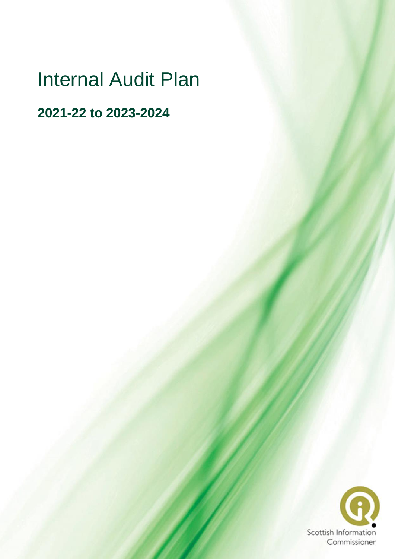# Internal Audit Plan

## **2021-22 to 2023-2024**

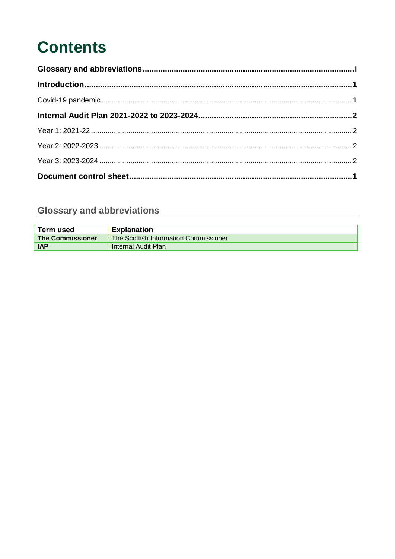## **Contents**

### <span id="page-1-0"></span>**Glossary and abbreviations**

| Term used               | <b>Explanation</b>                    |
|-------------------------|---------------------------------------|
| <b>The Commissioner</b> | The Scottish Information Commissioner |
| <b>IAP</b>              | Internal Audit Plan                   |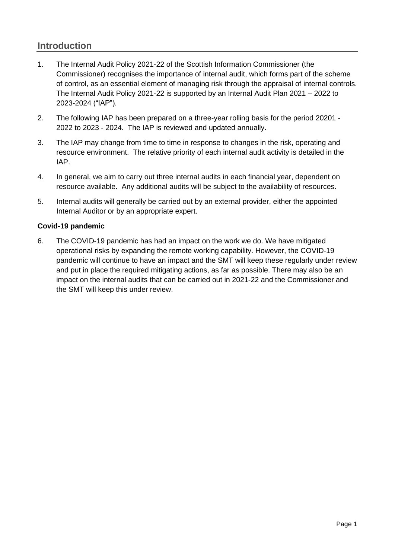#### <span id="page-2-0"></span>**Introduction**

- 1. The Internal Audit Policy 2021-22 of the Scottish Information Commissioner (the Commissioner) recognises the importance of internal audit, which forms part of the scheme of control, as an essential element of managing risk through the appraisal of internal controls. The Internal Audit Policy 2021-22 is supported by an Internal Audit Plan 2021 – 2022 to 2023-2024 ("IAP").
- 2. The following IAP has been prepared on a three-year rolling basis for the period 20201 2022 to 2023 - 2024. The IAP is reviewed and updated annually.
- 3. The IAP may change from time to time in response to changes in the risk, operating and resource environment. The relative priority of each internal audit activity is detailed in the IAP.
- 4. In general, we aim to carry out three internal audits in each financial year, dependent on resource available. Any additional audits will be subject to the availability of resources.
- 5. Internal audits will generally be carried out by an external provider, either the appointed Internal Auditor or by an appropriate expert.

#### <span id="page-2-1"></span>**Covid-19 pandemic**

6. The COVID-19 pandemic has had an impact on the work we do. We have mitigated operational risks by expanding the remote working capability. However, the COVID-19 pandemic will continue to have an impact and the SMT will keep these regularly under review and put in place the required mitigating actions, as far as possible. There may also be an impact on the internal audits that can be carried out in 2021-22 and the Commissioner and the SMT will keep this under review.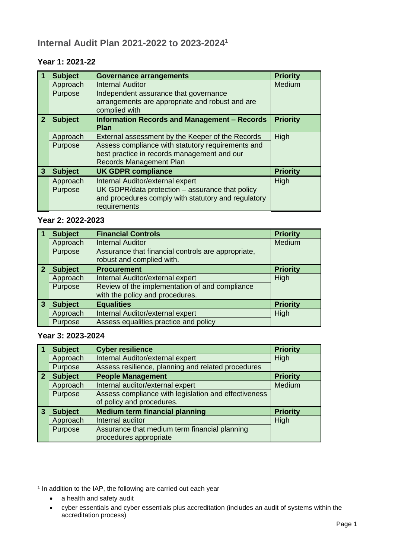#### <span id="page-3-1"></span><span id="page-3-0"></span>**Year 1: 2021-22**

|              | <b>Subject</b> | <b>Governance arrangements</b>                                                                            | <b>Priority</b> |  |  |
|--------------|----------------|-----------------------------------------------------------------------------------------------------------|-----------------|--|--|
|              | Approach       | <b>Internal Auditor</b>                                                                                   |                 |  |  |
|              | Purpose        | Independent assurance that governance<br>arrangements are appropriate and robust and are<br>complied with |                 |  |  |
| $\mathbf{2}$ | <b>Subject</b> | <b>Information Records and Management - Records</b><br><b>Priority</b><br><b>Plan</b>                     |                 |  |  |
|              | Approach       | External assessment by the Keeper of the Records                                                          | High            |  |  |
|              | Purpose        | Assess compliance with statutory requirements and                                                         |                 |  |  |
|              |                | best practice in records management and our                                                               |                 |  |  |
|              |                | Records Management Plan                                                                                   |                 |  |  |
| 3            | <b>Subject</b> | <b>UK GDPR compliance</b>                                                                                 | <b>Priority</b> |  |  |
|              | Approach       | Internal Auditor/external expert                                                                          | High            |  |  |
|              | Purpose        | UK GDPR/data protection - assurance that policy                                                           |                 |  |  |
|              |                | and procedures comply with statutory and regulatory                                                       |                 |  |  |
|              |                | requirements                                                                                              |                 |  |  |

#### <span id="page-3-2"></span>**Year 2: 2022-2023**

|                | <b>Subject</b> | <b>Financial Controls</b>                                                       | <b>Priority</b> |
|----------------|----------------|---------------------------------------------------------------------------------|-----------------|
|                | Approach       | Medium                                                                          |                 |
|                | Purpose        | Assurance that financial controls are appropriate,<br>robust and complied with. |                 |
| $\overline{2}$ | <b>Subject</b> | <b>Procurement</b>                                                              | <b>Priority</b> |
|                | Approach       | Internal Auditor/external expert                                                | High            |
|                | Purpose        | Review of the implementation of and compliance                                  |                 |
|                |                | with the policy and procedures.                                                 |                 |
| 3              | <b>Subject</b> | <b>Equalities</b>                                                               | <b>Priority</b> |
|                | Approach       | Internal Auditor/external expert                                                | High            |
|                | Purpose        | Assess equalities practice and policy                                           |                 |

#### <span id="page-3-3"></span>**Year 3: 2023-2024**

|                | <b>Subject</b> | <b>Cyber resilience</b>                              | <b>Priority</b> |
|----------------|----------------|------------------------------------------------------|-----------------|
|                | Approach       | Internal Auditor/external expert                     | High            |
|                | Purpose        | Assess resilience, planning and related procedures   |                 |
| $\overline{2}$ | <b>Subject</b> | <b>People Management</b>                             | <b>Priority</b> |
|                | Approach       | Internal auditor/external expert                     | Medium          |
|                | Purpose        | Assess compliance with legislation and effectiveness |                 |
|                |                | of policy and procedures.                            |                 |
| $\overline{3}$ | <b>Subject</b> | <b>Medium term financial planning</b>                | <b>Priority</b> |
|                | Approach       | Internal auditor                                     | High            |
|                | Purpose        | Assurance that medium term financial planning        |                 |
|                |                | procedures appropriate                               |                 |

-

<sup>&</sup>lt;sup>1</sup> In addition to the IAP, the following are carried out each year

<sup>•</sup> a health and safety audit

<sup>•</sup> cyber essentials and cyber essentials plus accreditation (includes an audit of systems within the accreditation process)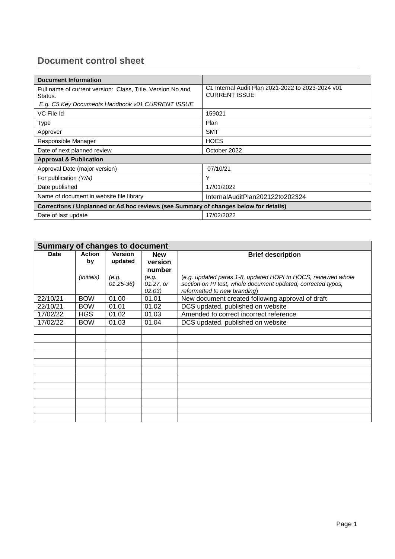### <span id="page-4-0"></span>**Document control sheet**

| <b>Document Information</b>                                                          |                                                                           |  |  |
|--------------------------------------------------------------------------------------|---------------------------------------------------------------------------|--|--|
| Full name of current version: Class, Title, Version No and<br>Status.                | C1 Internal Audit Plan 2021-2022 to 2023-2024 v01<br><b>CURRENT ISSUE</b> |  |  |
| E.g. C5 Key Documents Handbook v01 CURRENT ISSUE                                     |                                                                           |  |  |
| VC File Id                                                                           | 159021                                                                    |  |  |
| <b>Type</b>                                                                          | Plan                                                                      |  |  |
| Approver                                                                             | <b>SMT</b>                                                                |  |  |
| Responsible Manager                                                                  | <b>HOCS</b>                                                               |  |  |
| Date of next planned review                                                          | October 2022                                                              |  |  |
| <b>Approval &amp; Publication</b>                                                    |                                                                           |  |  |
| Approval Date (major version)                                                        | 07/10/21                                                                  |  |  |
| For publication (Y/N)                                                                | Υ                                                                         |  |  |
| Date published                                                                       | 17/01/2022                                                                |  |  |
| Name of document in website file library                                             | InternalAuditPlan202122to202324                                           |  |  |
| Corrections / Unplanned or Ad hoc reviews (see Summary of changes below for details) |                                                                           |  |  |
| Date of last update                                                                  | 17/02/2022                                                                |  |  |

| Summary of changes to document |                   |                |            |                                                               |
|--------------------------------|-------------------|----------------|------------|---------------------------------------------------------------|
| <b>Date</b>                    | <b>Action</b>     | <b>Version</b> | <b>New</b> | <b>Brief description</b>                                      |
|                                | by                | updated        | version    |                                                               |
|                                |                   |                | number     |                                                               |
|                                | <i>(initials)</i> | (e.g.          | (e.g.      | (e.g. updated paras 1-8, updated HOPI to HOCS, reviewed whole |
|                                |                   | $01.25 - 36$   | 01.27, or  | section on PI test, whole document updated, corrected typos,  |
|                                |                   |                | 02.03)     | reformatted to new branding)                                  |
| 22/10/21                       | <b>BOW</b>        | 01.00          | 01.01      | New document created following approval of draft              |
| 22/10/21                       | <b>BOW</b>        | 01.01          | 01.02      | DCS updated, published on website                             |
| 17/02/22                       | <b>HGS</b>        | 01.02          | 01.03      | Amended to correct incorrect reference                        |
| 17/02/22                       | <b>BOW</b>        | 01.03          | 01.04      | DCS updated, published on website                             |
|                                |                   |                |            |                                                               |
|                                |                   |                |            |                                                               |
|                                |                   |                |            |                                                               |
|                                |                   |                |            |                                                               |
|                                |                   |                |            |                                                               |
|                                |                   |                |            |                                                               |
|                                |                   |                |            |                                                               |
|                                |                   |                |            |                                                               |
|                                |                   |                |            |                                                               |
|                                |                   |                |            |                                                               |
|                                |                   |                |            |                                                               |
|                                |                   |                |            |                                                               |